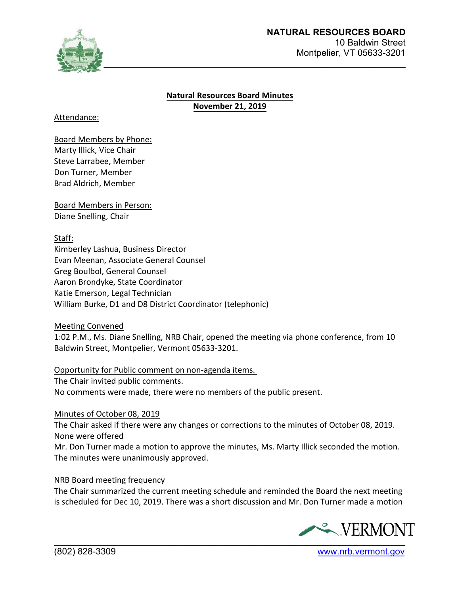

### **Natural Resources Board Minutes November 21, 2019**

Attendance:

Board Members by Phone: Marty Illick, Vice Chair Steve Larrabee, Member Don Turner, Member Brad Aldrich, Member

Board Members in Person: Diane Snelling, Chair

Staff:

Kimberley Lashua, Business Director Evan Meenan, Associate General Counsel Greg Boulbol, General Counsel Aaron Brondyke, State Coordinator Katie Emerson, Legal Technician William Burke, D1 and D8 District Coordinator (telephonic)

Meeting Convened

1:02 P.M., Ms. Diane Snelling, NRB Chair, opened the meeting via phone conference, from 10 Baldwin Street, Montpelier, Vermont 05633-3201.

# Opportunity for Public comment on non-agenda items.

The Chair invited public comments.

No comments were made, there were no members of the public present.

#### Minutes of October 08, 2019

The Chair asked if there were any changes or corrections to the minutes of October 08, 2019. None were offered

Mr. Don Turner made a motion to approve the minutes, Ms. Marty Illick seconded the motion. The minutes were unanimously approved.

#### NRB Board meeting frequency

The Chair summarized the current meeting schedule and reminded the Board the next meeting is scheduled for Dec 10, 2019. There was a short discussion and Mr. Don Turner made a motion



(802) 828-3309 [www.nrb.vermont.gov](http://www.nrb.vermont.gov/)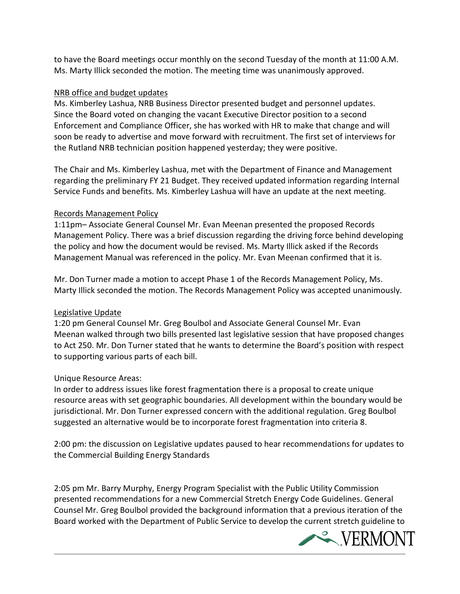to have the Board meetings occur monthly on the second Tuesday of the month at 11:00 A.M. Ms. Marty Illick seconded the motion. The meeting time was unanimously approved.

### NRB office and budget updates

Ms. Kimberley Lashua, NRB Business Director presented budget and personnel updates. Since the Board voted on changing the vacant Executive Director position to a second Enforcement and Compliance Officer, she has worked with HR to make that change and will soon be ready to advertise and move forward with recruitment. The first set of interviews for the Rutland NRB technician position happened yesterday; they were positive.

The Chair and Ms. Kimberley Lashua, met with the Department of Finance and Management regarding the preliminary FY 21 Budget. They received updated information regarding Internal Service Funds and benefits. Ms. Kimberley Lashua will have an update at the next meeting.

### Records Management Policy

1:11pm– Associate General Counsel Mr. Evan Meenan presented the proposed Records Management Policy. There was a brief discussion regarding the driving force behind developing the policy and how the document would be revised. Ms. Marty Illick asked if the Records Management Manual was referenced in the policy. Mr. Evan Meenan confirmed that it is.

Mr. Don Turner made a motion to accept Phase 1 of the Records Management Policy, Ms. Marty Illick seconded the motion. The Records Management Policy was accepted unanimously.

# Legislative Update

1:20 pm General Counsel Mr. Greg Boulbol and Associate General Counsel Mr. Evan Meenan walked through two bills presented last legislative session that have proposed changes to Act 250. Mr. Don Turner stated that he wants to determine the Board's position with respect to supporting various parts of each bill.

# Unique Resource Areas:

In order to address issues like forest fragmentation there is a proposal to create unique resource areas with set geographic boundaries. All development within the boundary would be jurisdictional. Mr. Don Turner expressed concern with the additional regulation. Greg Boulbol suggested an alternative would be to incorporate forest fragmentation into criteria 8.

2:00 pm: the discussion on Legislative updates paused to hear recommendations for updates to the Commercial Building Energy Standards

2:05 pm Mr. Barry Murphy, Energy Program Specialist with the Public Utility Commission presented recommendations for a new Commercial Stretch Energy Code Guidelines. General Counsel Mr. Greg Boulbol provided the background information that a previous iteration of the Board worked with the Department of Public Service to develop the current stretch guideline to

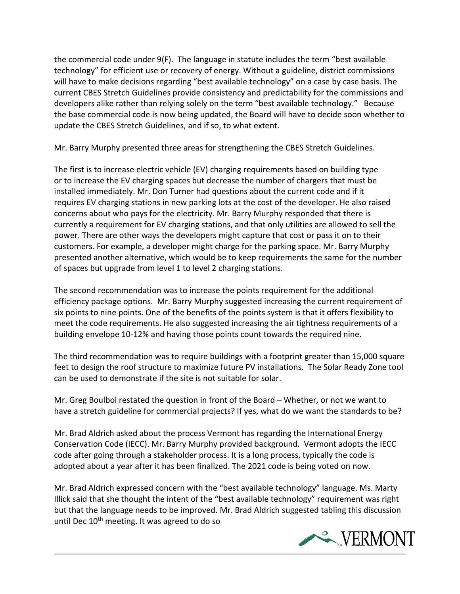the commercial code under 9(F). The language in statute includes the term "best available technology" for efficient use or recovery of energy. Without a guideline, district commissions will have to make decisions regarding "best available technology" on a case by case basis. The current CBES Stretch Guidelines provide consistency and predictability for the commissions and developers alike rather than relying solely on the term "best available technology." Because the base commercial code is now being updated, the Board will have to decide soon whether to update the CBES Stretch Guidelines, and if so, to what extent.

Mr. Barry Murphy presented three areas for strengthening the CBES Stretch Guidelines.

The first is to increase electric vehicle (EV) charging requirements based on building type or to increase the EV charging spaces but decrease the number of chargers that must be installed immediately. Mr. Don Turner had questions about the current code and if it requires EV charging stations in new parking lots at the cost of the developer. He also raised concerns about who pays for the electricity. Mr. Barry Murphy responded that there is currently a requirement for EV charging stations, and that only utilities are allowed to sell the power. There are other ways the developers might capture that cost or pass it on to their customers. For example, a developer might charge for the parking space. Mr. Barry Murphy presented another alternative, which would be to keep requirements the same for the number of spaces but upgrade from level 1 to level 2 charging stations.

The second recommendation was to increase the points requirement for the additional efficiency package options. Mr. Barry Murphy suggested increasing the current requirement of six points to nine points. One of the benefits of the points system is that it offers flexibility to meet the code requirements. He also suggested increasing the air tightness requirements of a building envelope 10-12% and having those points count towards the required nine.

The third recommendation was to require buildings with a footprint greater than 15,000 square feet to design the roof structure to maximize future PV installations. The Solar Ready Zone tool can be used to demonstrate if the site is not suitable for solar.

Mr. Greg Boulbol restated the question in front of the Board – Whether, or not we want to have a stretch guideline for commercial projects? If yes, what do we want the standards to be?

Mr. Brad Aldrich asked about the process Vermont has regarding the International Energy Conservation Code (IECC). Mr. Barry Murphy provided background. Vermont adopts the IECC code after going through a stakeholder process. It is a long process, typically the code is adopted about a year after it has been finalized. The 2021 code is being voted on now.

Mr. Brad Aldrich expressed concern with the "best available technology" language. Ms. Marty Illick said that she thought the intent of the "best available technology" requirement was right but that the language needs to be improved. Mr. Brad Aldrich suggested tabling this discussion until Dec  $10<sup>th</sup>$  meeting. It was agreed to do so